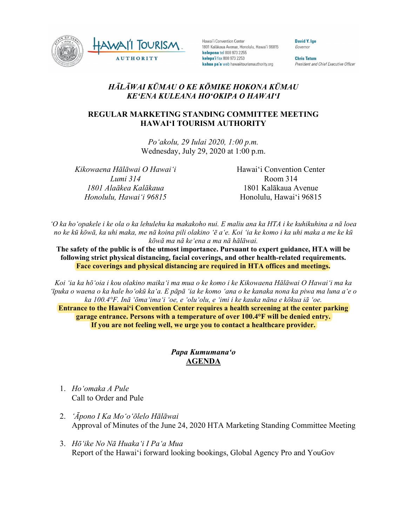

Hawai'i Convention Center 1801 Kalākaua Avenue, Honolulu, Hawai'i 96815 kelepona tel 808 973 2255 kelepa'i fax 808 973 2253 kahua pa'a web hawaiitourismauthority.org

David Y. Ige Governor

**Chris Tatum** President and Chief Executive Officer

## *HĀLĀWAI KŪMAU O KE KŌMIKE HOKONA KŪMAU KEʻENA KULEANA HOʻOKIPA O HAWAIʻI*

## **REGULAR MARKETING STANDING COMMITTEE MEETING HAWAI'I TOURISM AUTHORITY**

*Poʻakolu, 29 Iulai 2020, 1:00 p.m.* Wednesday, July 29, 2020 at 1:00 p.m.

*Kikowaena Hālāwai O Hawaiʻi Lumi 314 1801 Alaākea Kalākaua Honolulu, Hawaiʻi 96815*

Hawai'i Convention Center Room 314 1801 Kalākaua Avenue Honolulu, Hawai'i 96815

*ʻO ka hoʻopakele i ke ola o ka lehulehu ka makakoho nui. E maliu ana ka HTA i ke kuhikuhina a nā loea no ke kū kōwā, ka uhi maka, me nā koina pili olakino ʻē aʻe. Koi ʻia ke komo i ka uhi maka a me ke kū kōwā ma nā keʻena a ma nā hālāwai.*

**The safety of the public is of the utmost importance. Pursuant to expert guidance, HTA will be following strict physical distancing, facial coverings, and other health-related requirements. Face coverings and physical distancing are required in HTA offices and meetings.**

*Koi ʻia ka hōʻoia i kou olakino maikaʻi ma mua o ke komo i ke Kikowaena Hālāwai O Hawaiʻi ma ka ʻīpuka o waena o ka hale hoʻokū kaʻa. E pāpā ʻia ke komo ʻana o ke kanaka nona ka piwa ma luna aʻe o ka 100.4°F. Inā ʻōmaʻimaʻi ʻoe, e ʻoluʻolu, e ʻimi i ke kauka nāna e kōkua iā ʻoe.*

**Entrance to the Hawaiʻi Convention Center requires a health screening at the center parking garage entrance. Persons with a temperature of over 100.4°F will be denied entry. If you are not feeling well, we urge you to contact a healthcare provider.**

## *Papa Kumumanaʻo* **AGENDA**

- 1. *Hoʻomaka A Pule* Call to Order and Pule
- 2. *ʻĀpono I Ka Moʻoʻōlelo Hālāwai* Approval of Minutes of the June 24, 2020 HTA Marketing Standing Committee Meeting
- 3. *Hōʻike No Nā Huakaʻi I Paʻa Mua* Report of the Hawai'i forward looking bookings, Global Agency Pro and YouGov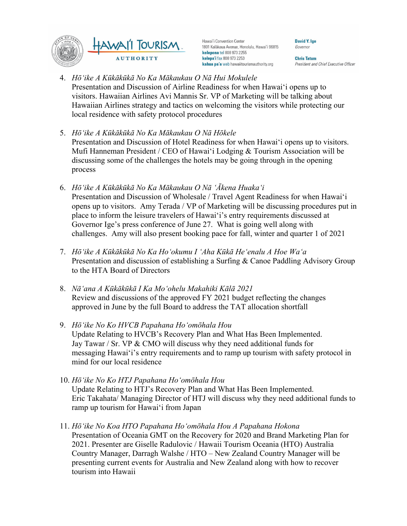

Hawai'i Convention Center 1801 Kalākaua Avenue, Honolulu, Hawai'i 96815 kelepona tel 808 973 2255 kelepa'i fax 808 973 2253 kahua pa'a web hawaiitourismauthority.org

**David Y. Ige** Governor

**Chris Tatum** President and Chief Executive Officer

- 4. *Hōʻike A Kūkākūkā No Ka Mākaukau O Nā Hui Mokulele* Presentation and Discussion of Airline Readiness for when Hawai'i opens up to visitors. Hawaiian Airlines Avi Mannis Sr. VP of Marketing will be talking about Hawaiian Airlines strategy and tactics on welcoming the visitors while protecting our local residence with safety protocol procedures
- 5. *Hōʻike A Kūkākūkā No Ka Mākaukau O Nā Hōkele* Presentation and Discussion of Hotel Readiness for when Hawai'i opens up to visitors. Mufi Hanneman President / CEO of Hawai'i Lodging & Tourism Association will be discussing some of the challenges the hotels may be going through in the opening process
- 6. *Hōʻike A Kūkākūkā No Ka Mākaukau O Nā ʻĀkena Huakaʻi* Presentation and Discussion of Wholesale / Travel Agent Readiness for when Hawai'i opens up to visitors. Amy Terada / VP of Marketing will be discussing procedures put in place to inform the leisure travelers of Hawai'i's entry requirements discussed at Governor Ige's press conference of June 27. What is going well along with challenges. Amy will also present booking pace for fall, winter and quarter 1 of 2021
- 7. *Hōʻike A Kūkākūkā No Ka Hoʻokumu I ʻAha Kūkā Heʻenalu A Hoe Waʻa* Presentation and discussion of establishing a Surfing & Canoe Paddling Advisory Group to the HTA Board of Directors
- 8. *Nāʻana A Kūkākūkā I Ka Moʻohelu Makahiki Kālā 2021* Review and discussions of the approved FY 2021 budget reflecting the changes approved in June by the full Board to address the TAT allocation shortfall
- 9. *Hōʻike No Ko HVCB Papahana Hoʻomōhala Hou* Update Relating to HVCB's Recovery Plan and What Has Been Implemented. Jay Tawar / Sr. VP & CMO will discuss why they need additional funds for messaging Hawai'i's entry requirements and to ramp up tourism with safety protocol in mind for our local residence
- 10. *Hōʻike No Ko HTJ Papahana Hoʻomōhala Hou* Update Relating to HTJ's Recovery Plan and What Has Been Implemented. Eric Takahata/ Managing Director of HTJ will discuss why they need additional funds to ramp up tourism for Hawai'i from Japan
- 11. *Hōʻike No Koa HTO Papahana Hoʻomōhala Hou A Papahana Hokona* Presentation of Oceania GMT on the Recovery for 2020 and Brand Marketing Plan for 2021. Presenter are Giselle Radulovic / Hawaii Tourism Oceania (HTO) Australia Country Manager, Darragh Walshe / HTO – New Zealand Country Manager will be presenting current events for Australia and New Zealand along with how to recover tourism into Hawaii